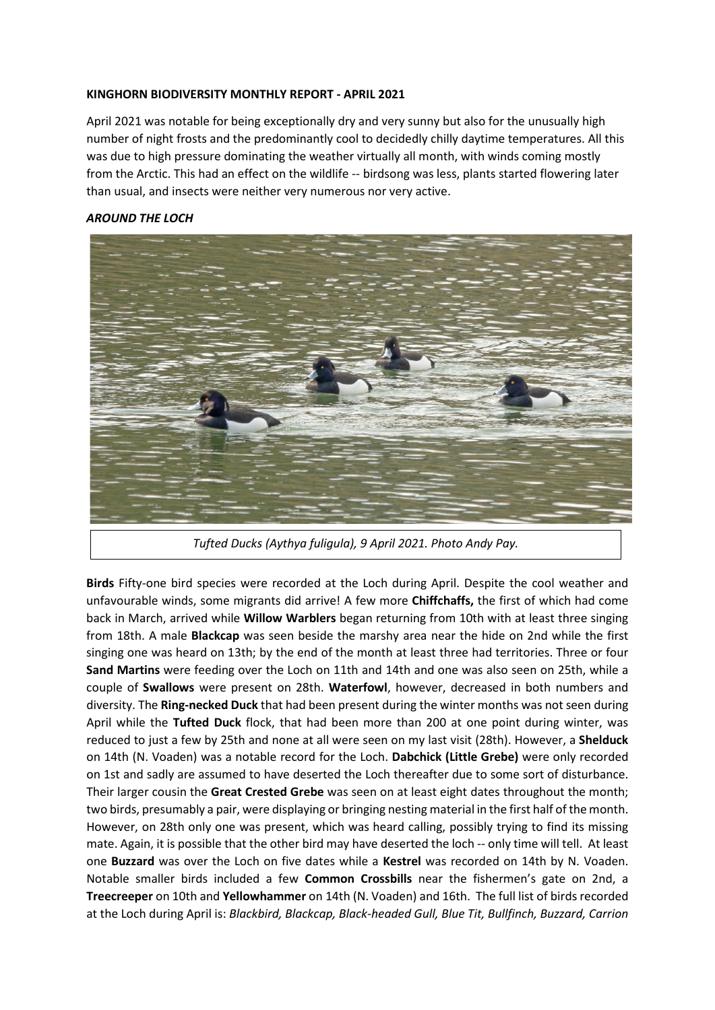#### **KINGHORN BIODIVERSITY MONTHLY REPORT - APRIL 2021**

April 2021 was notable for being exceptionally dry and very sunny but also for the unusually high number of night frosts and the predominantly cool to decidedly chilly daytime temperatures. All this was due to high pressure dominating the weather virtually all month, with winds coming mostly from the Arctic. This had an effect on the wildlife -- birdsong was less, plants started flowering later than usual, and insects were neither very numerous nor very active.

## *AROUND THE LOCH*



*Tufted Ducks (Aythya fuligula), 9 April 2021. Photo Andy Pay.*

**Birds** Fifty-one bird species were recorded at the Loch during April. Despite the cool weather and unfavourable winds, some migrants did arrive! A few more **Chiffchaffs,** the first of which had come back in March, arrived while **Willow Warblers** began returning from 10th with at least three singing from 18th. A male **Blackcap** was seen beside the marshy area near the hide on 2nd while the first singing one was heard on 13th; by the end of the month at least three had territories. Three or four **Sand Martins** were feeding over the Loch on 11th and 14th and one was also seen on 25th, while a couple of **Swallows** were present on 28th. **Waterfowl**, however, decreased in both numbers and diversity. The **Ring-necked Duck** that had been present during the winter months was not seen during April while the **Tufted Duck** flock, that had been more than 200 at one point during winter, was reduced to just a few by 25th and none at all were seen on my last visit (28th). However, a **Shelduck**  on 14th (N. Voaden) was a notable record for the Loch. **Dabchick (Little Grebe)** were only recorded on 1st and sadly are assumed to have deserted the Loch thereafter due to some sort of disturbance. Their larger cousin the **Great Crested Grebe** was seen on at least eight dates throughout the month; two birds, presumably a pair, were displaying or bringing nesting material in the first half of the month. However, on 28th only one was present, which was heard calling, possibly trying to find its missing mate. Again, it is possible that the other bird may have deserted the loch -- only time will tell. At least one **Buzzard** was over the Loch on five dates while a **Kestrel** was recorded on 14th by N. Voaden. Notable smaller birds included a few **Common Crossbills** near the fishermen's gate on 2nd, a **Treecreeper** on 10th and **Yellowhammer** on 14th (N. Voaden) and 16th. The full list of birds recorded at the Loch during April is: *Blackbird, Blackcap, Black-headed Gull, Blue Tit, Bullfinch, Buzzard, Carrion*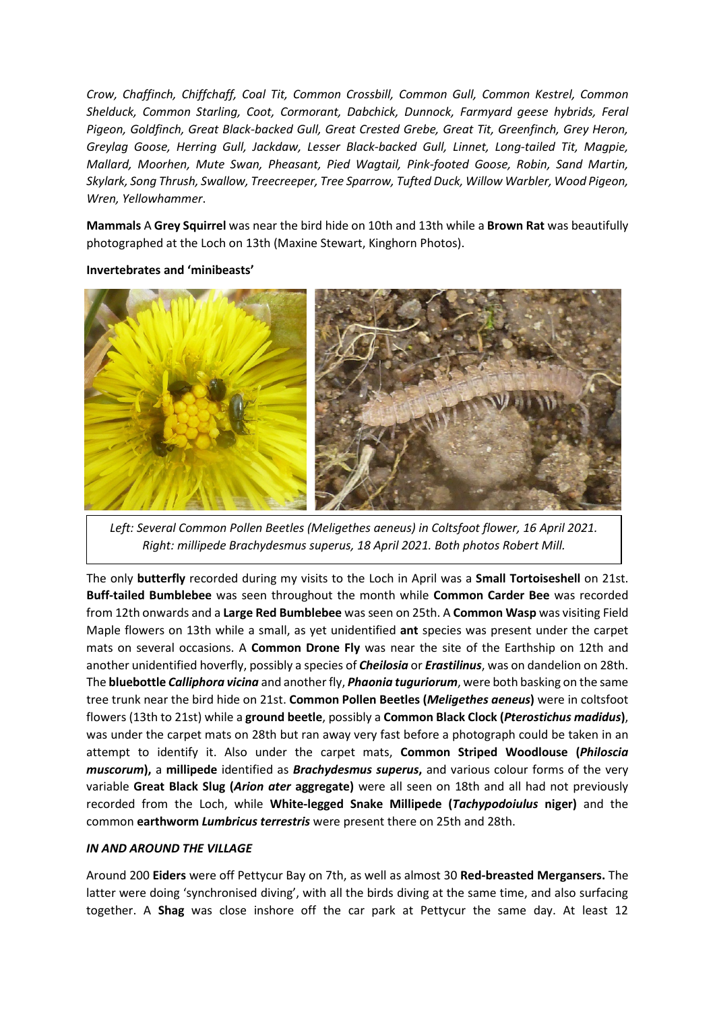*Crow, Chaffinch, Chiffchaff, Coal Tit, Common Crossbill, Common Gull, Common Kestrel, Common Shelduck, Common Starling, Coot, Cormorant, Dabchick, Dunnock, Farmyard geese hybrids, Feral Pigeon, Goldfinch, Great Black-backed Gull, Great Crested Grebe, Great Tit, Greenfinch, Grey Heron, Greylag Goose, Herring Gull, Jackdaw, Lesser Black-backed Gull, Linnet, Long-tailed Tit, Magpie, Mallard, Moorhen, Mute Swan, Pheasant, Pied Wagtail, Pink-footed Goose, Robin, Sand Martin, Skylark, Song Thrush, Swallow, Treecreeper, Tree Sparrow, Tufted Duck, Willow Warbler, Wood Pigeon, Wren, Yellowhammer*.

**Mammals** A **Grey Squirrel** was near the bird hide on 10th and 13th while a **Brown Rat** was beautifully photographed at the Loch on 13th (Maxine Stewart, Kinghorn Photos).

#### **Invertebrates and 'minibeasts'**



Left: Several Common Pollen Beetles (Meligethes aeneus) in Coltsfoot flower, 16 April 2021. *Right: millipede Brachydesmus superus, 18 April 2021. Both photos Robert Mill.*

The only **butterfly** recorded during my visits to the Loch in April was a **Small Tortoiseshell** on 21st. **Buff-tailed Bumblebee** was seen throughout the month while **Common Carder Bee** was recorded from 12th onwards and a **Large Red Bumblebee** was seen on 25th. A **Common Wasp** was visiting Field Maple flowers on 13th while a small, as yet unidentified **ant** species was present under the carpet mats on several occasions. A **Common Drone Fly** was near the site of the Earthship on 12th and another unidentified hoverfly, possibly a species of *Cheilosia* or *Erastilinus*, was on dandelion on 28th. The **bluebottle** *Calliphora vicina* and another fly, *Phaonia tuguriorum*, were both basking on the same tree trunk near the bird hide on 21st. **Common Pollen Beetles (***Meligethes aeneus***)** were in coltsfoot flowers (13th to 21st) while a **ground beetle**, possibly a **Common Black Clock (***Pterostichus madidus***)**, was under the carpet mats on 28th but ran away very fast before a photograph could be taken in an attempt to identify it. Also under the carpet mats, **Common Striped Woodlouse (***Philoscia muscorum***),** a **millipede** identified as *Brachydesmus superus***,** and various colour forms of the very variable **Great Black Slug (***Arion ater* **aggregate)** were all seen on 18th and all had not previously recorded from the Loch, while **White-legged Snake Millipede (***Tachypodoiulus* **niger)** and the common **earthworm** *Lumbricus terrestris* were present there on 25th and 28th.

### *IN AND AROUND THE VILLAGE*

Around 200 **Eiders** were off Pettycur Bay on 7th, as well as almost 30 **Red-breasted Mergansers.** The latter were doing 'synchronised diving', with all the birds diving at the same time, and also surfacing together. A **Shag** was close inshore off the car park at Pettycur the same day. At least 12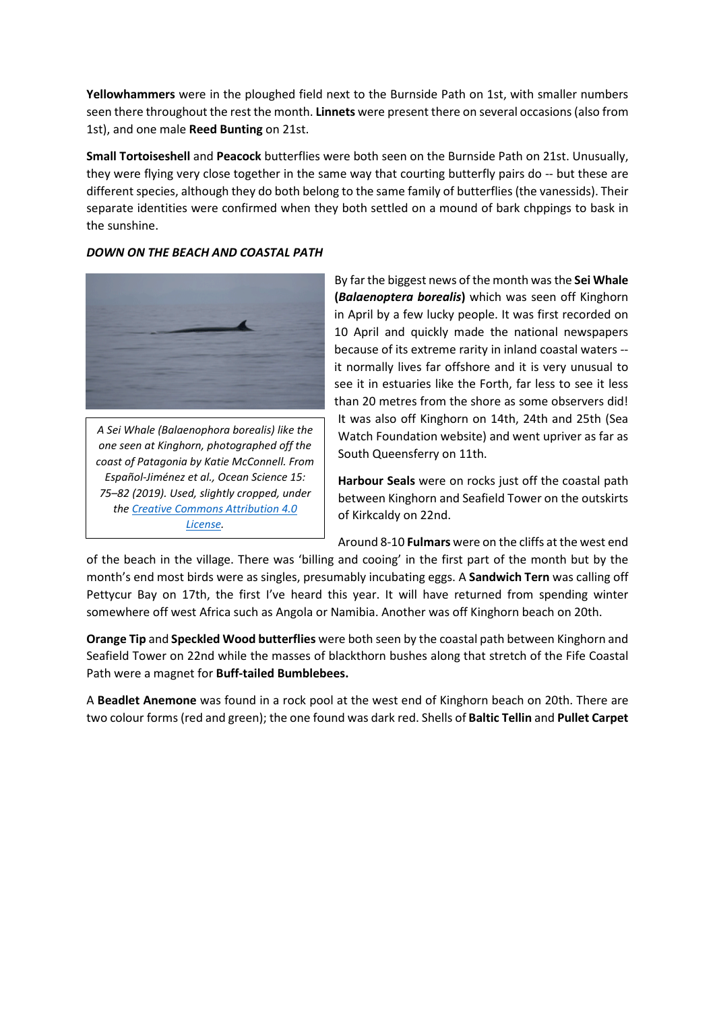**Yellowhammers** were in the ploughed field next to the Burnside Path on 1st, with smaller numbers seen there throughout the rest the month. **Linnets** were present there on several occasions (also from 1st), and one male **Reed Bunting** on 21st.

**Small Tortoiseshell** and **Peacock** butterflies were both seen on the Burnside Path on 21st. Unusually, they were flying very close together in the same way that courting butterfly pairs do -- but these are different species, although they do both belong to the same family of butterflies (the vanessids). Their separate identities were confirmed when they both settled on a mound of bark chppings to bask in the sunshine.



# *DOWN ON THE BEACH AND COASTAL PATH*

*A Sei Whale (Balaenophora borealis) like the one seen at Kinghorn, photographed off the coast of Patagonia by Katie McConnell. From Español-Jiménez et al., Ocean Science 15: 75–82 (2019). Used, slightly cropped, under the [Creative Commons Attribution 4.0](https://creativecommons.org/licenses/by/4.0/)  [License.](https://creativecommons.org/licenses/by/4.0/)*

By far the biggest news of the month was the **Sei Whale (***Balaenoptera borealis***)** which was seen off Kinghorn in April by a few lucky people. It was first recorded on 10 April and quickly made the national newspapers because of its extreme rarity in inland coastal waters - it normally lives far offshore and it is very unusual to see it in estuaries like the Forth, far less to see it less than 20 metres from the shore as some observers did! It was also off Kinghorn on 14th, 24th and 25th (Sea Watch Foundation website) and went upriver as far as South Queensferry on 11th.

**Harbour Seals** were on rocks just off the coastal path between Kinghorn and Seafield Tower on the outskirts of Kirkcaldy on 22nd.

Around 8-10 **Fulmars** were on the cliffs at the west end

of the beach in the village. There was 'billing and cooing' in the first part of the month but by the month's end most birds were as singles, presumably incubating eggs. A **Sandwich Tern** was calling off Pettycur Bay on 17th, the first I've heard this year. It will have returned from spending winter somewhere off west Africa such as Angola or Namibia. Another was off Kinghorn beach on 20th.

**Orange Tip** and **Speckled Wood butterflies** were both seen by the coastal path between Kinghorn and Seafield Tower on 22nd while the masses of blackthorn bushes along that stretch of the Fife Coastal Path were a magnet for **Buff-tailed Bumblebees.** 

A **Beadlet Anemone** was found in a rock pool at the west end of Kinghorn beach on 20th. There are two colour forms (red and green); the one found was dark red. Shells of **Baltic Tellin** and **Pullet Carpet**